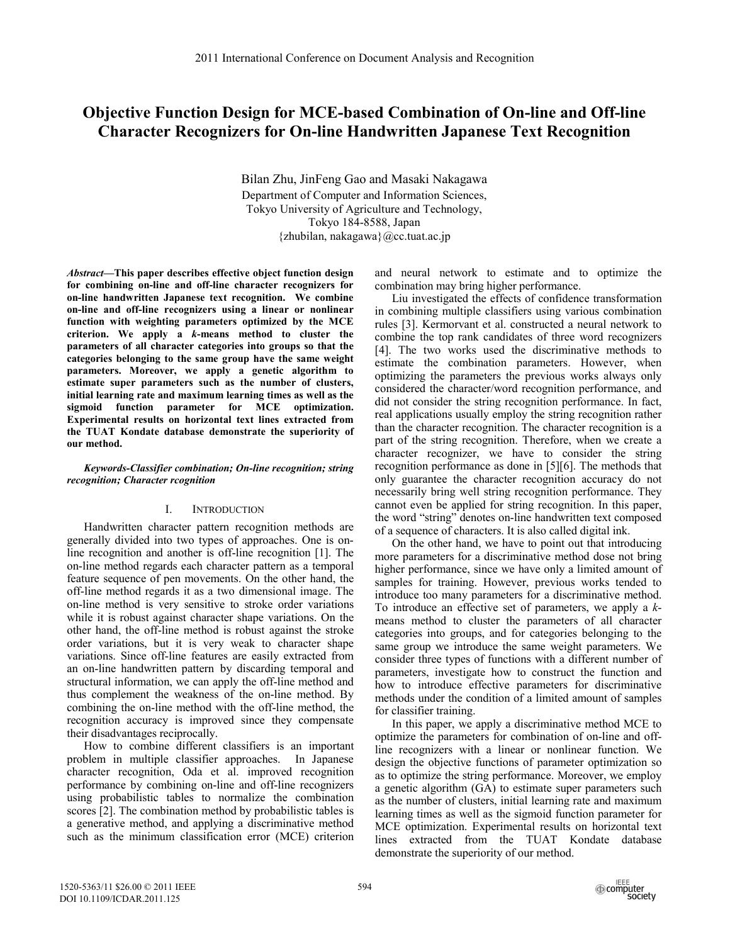# **Objective Function Design for MCE-based Combination of On-line and Off-line Character Recognizers for On-line Handwritten Japanese Text Recognition**

Bilan Zhu, JinFeng Gao and Masaki Nakagawa Department of Computer and Information Sciences, Tokyo University of Agriculture and Technology, Tokyo 184-8588, Japan {zhubilan, nakagawa}@cc.tuat.ac.jp

*Abstract***—This paper describes effective object function design for combining on-line and off-line character recognizers for on-line handwritten Japanese text recognition. We combine on-line and off-line recognizers using a linear or nonlinear function with weighting parameters optimized by the MCE criterion. We apply a** *k***-means method to cluster the parameters of all character categories into groups so that the categories belonging to the same group have the same weight parameters. Moreover, we apply a genetic algorithm to estimate super parameters such as the number of clusters, initial learning rate and maximum learning times as well as the sigmoid function parameter for MCE optimization. Experimental results on horizontal text lines extracted from the TUAT Kondate database demonstrate the superiority of our method.** 

# *Keywords-Classifier combination; On-line recognition; string recognition; Character rcognition*

# I. INTRODUCTION

Handwritten character pattern recognition methods are generally divided into two types of approaches. One is online recognition and another is off-line recognition [1]. The on-line method regards each character pattern as a temporal feature sequence of pen movements. On the other hand, the off-line method regards it as a two dimensional image. The on-line method is very sensitive to stroke order variations while it is robust against character shape variations. On the other hand, the off-line method is robust against the stroke order variations, but it is very weak to character shape variations. Since off-line features are easily extracted from an on-line handwritten pattern by discarding temporal and structural information, we can apply the off-line method and thus complement the weakness of the on-line method. By combining the on-line method with the off-line method, the recognition accuracy is improved since they compensate their disadvantages reciprocally.

How to combine different classifiers is an important problem in multiple classifier approaches. In Japanese character recognition, Oda et al. improved recognition performance by combining on-line and off-line recognizers using probabilistic tables to normalize the combination scores [2]. The combination method by probabilistic tables is a generative method, and applying a discriminative method such as the minimum classification error (MCE) criterion

and neural network to estimate and to optimize the combination may bring higher performance.

Liu investigated the effects of confidence transformation in combining multiple classifiers using various combination rules [3]. Kermorvant et al. constructed a neural network to combine the top rank candidates of three word recognizers [4]. The two works used the discriminative methods to estimate the combination parameters. However, when optimizing the parameters the previous works always only considered the character/word recognition performance, and did not consider the string recognition performance. In fact, real applications usually employ the string recognition rather than the character recognition. The character recognition is a part of the string recognition. Therefore, when we create a character recognizer, we have to consider the string recognition performance as done in [5][6]. The methods that only guarantee the character recognition accuracy do not necessarily bring well string recognition performance. They cannot even be applied for string recognition. In this paper, the word "string" denotes on-line handwritten text composed of a sequence of characters. It is also called digital ink.

On the other hand, we have to point out that introducing more parameters for a discriminative method dose not bring higher performance, since we have only a limited amount of samples for training. However, previous works tended to introduce too many parameters for a discriminative method. To introduce an effective set of parameters, we apply a *k*means method to cluster the parameters of all character categories into groups, and for categories belonging to the same group we introduce the same weight parameters. We consider three types of functions with a different number of parameters, investigate how to construct the function and how to introduce effective parameters for discriminative methods under the condition of a limited amount of samples for classifier training.

In this paper, we apply a discriminative method MCE to optimize the parameters for combination of on-line and offline recognizers with a linear or nonlinear function. We design the objective functions of parameter optimization so as to optimize the string performance. Moreover, we employ a genetic algorithm (GA) to estimate super parameters such as the number of clusters, initial learning rate and maximum learning times as well as the sigmoid function parameter for MCE optimization. Experimental results on horizontal text lines extracted from the TUAT Kondate database demonstrate the superiority of our method.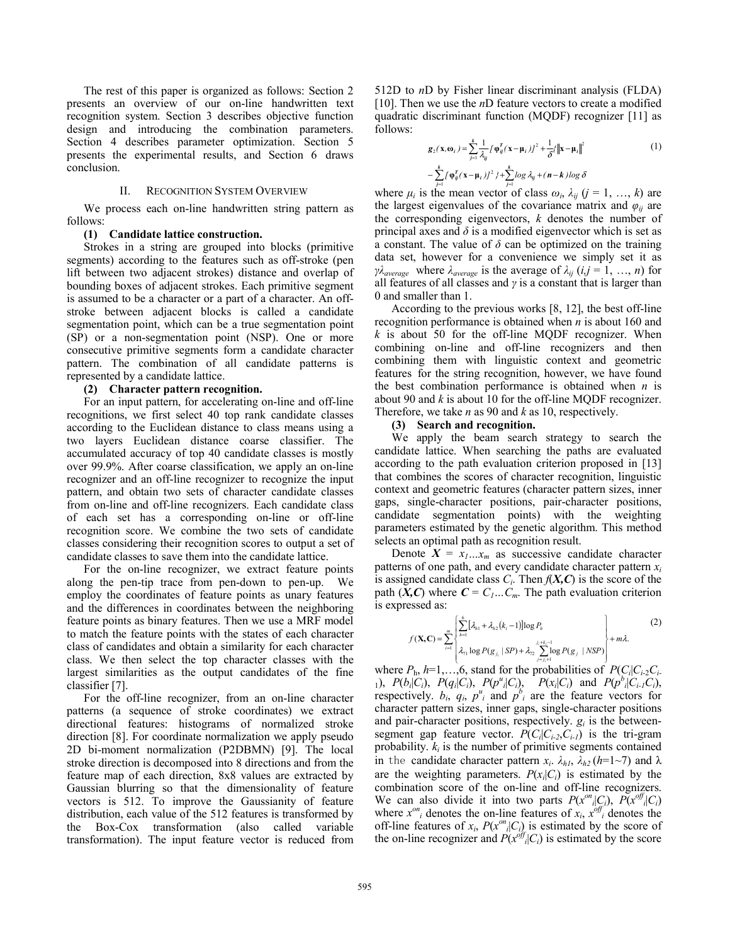The rest of this paper is organized as follows: Section 2 presents an overview of our on-line handwritten text recognition system. Section 3 describes objective function design and introducing the combination parameters. Section 4 describes parameter optimization. Section 5 presents the experimental results, and Section 6 draws conclusion.

## II. RECOGNITION SYSTEM OVERVIEW

We process each on-line handwritten string pattern as follows:

# **(1) Candidate lattice construction.**

Strokes in a string are grouped into blocks (primitive segments) according to the features such as off-stroke (pen lift between two adjacent strokes) distance and overlap of bounding boxes of adjacent strokes. Each primitive segment is assumed to be a character or a part of a character. An offstroke between adjacent blocks is called a candidate segmentation point, which can be a true segmentation point (SP) or a non-segmentation point (NSP). One or more consecutive primitive segments form a candidate character pattern. The combination of all candidate patterns is represented by a candidate lattice.

## **(2) Character pattern recognition.**

For an input pattern, for accelerating on-line and off-line recognitions, we first select 40 top rank candidate classes according to the Euclidean distance to class means using a two layers Euclidean distance coarse classifier. The accumulated accuracy of top 40 candidate classes is mostly over 99.9%. After coarse classification, we apply an on-line recognizer and an off-line recognizer to recognize the input pattern, and obtain two sets of character candidate classes from on-line and off-line recognizers. Each candidate class of each set has a corresponding on-line or off-line recognition score. We combine the two sets of candidate classes considering their recognition scores to output a set of candidate classes to save them into the candidate lattice.

For the on-line recognizer, we extract feature points along the pen-tip trace from pen-down to pen-up. We employ the coordinates of feature points as unary features and the differences in coordinates between the neighboring feature points as binary features. Then we use a MRF model to match the feature points with the states of each character class of candidates and obtain a similarity for each character class. We then select the top character classes with the largest similarities as the output candidates of the fine classifier [7].

For the off-line recognizer, from an on-line character patterns (a sequence of stroke coordinates) we extract directional features: histograms of normalized stroke direction [8]. For coordinate normalization we apply pseudo 2D bi-moment normalization (P2DBMN) [9]. The local stroke direction is decomposed into 8 directions and from the feature map of each direction, 8x8 values are extracted by Gaussian blurring so that the dimensionality of feature vectors is 512. To improve the Gaussianity of feature distribution, each value of the 512 features is transformed by the Box-Cox transformation (also called variable transformation). The input feature vector is reduced from 512D to *n*D by Fisher linear discriminant analysis (FLDA) [10]. Then we use the *n*D feature vectors to create a modified quadratic discriminant function (MQDF) recognizer [11] as follows:

$$
g_2(\mathbf{x}, \mathbf{\omega}_i) = \sum_{j=1}^k \frac{1}{\lambda_{ij}} \left[ \varphi_{ij}^T (\mathbf{x} - \mathbf{\mu}_i) \right]^2 + \frac{1}{\delta} \left\| \mathbf{x} - \mathbf{\mu}_i \right\|^2
$$
  
- 
$$
\sum_{j=1}^k \left[ \varphi_{ij}^T (\mathbf{x} - \mathbf{\mu}_i) \right]^2 + \sum_{j=1}^k \log \lambda_{ij} + (n - k) \log \delta
$$
 (1)

 $\sum_{j=1}$ <sup>*i*</sup>Og  $\lambda_{ij}$ </sup>  $-\sum_{j=1} \int \varphi_{ij}^T (\mathbf{x} - \boldsymbol{\mu}_i) j^2 \, \hat{j} + \sum_{j=1} \log \lambda_{ij} + (n - \hat{j})$ where  $\mu_i$  is the mean vector of class  $\omega_i$ ,  $\lambda_{ij}$  ( $j = 1, ..., k$ ) are the largest eigenvalues of the covariance matrix and  $\varphi_{ij}$  are the corresponding eigenvectors, *k* denotes the number of principal axes and  $\delta$  is a modified eigenvector which is set as a constant. The value of  $\delta$  can be optimized on the training data set, however for a convenience we simply set it as *γλ*<sub>*average* where *λ*<sub>*average* is the average of  $λ_{ij}$  (*i,j* = 1, …, *n*) for</sub></sub> all features of all classes and *γ* is a constant that is larger than 0 and smaller than 1.

According to the previous works [8, 12], the best off-line recognition performance is obtained when *n* is about 160 and *k* is about 50 for the off-line MQDF recognizer. When combining on-line and off-line recognizers and then combining them with linguistic context and geometric features for the string recognition, however, we have found the best combination performance is obtained when *n* is about 90 and *k* is about 10 for the off-line MQDF recognizer. Therefore, we take *n* as 90 and *k* as 10, respectively.

# **(3) Search and recognition.**

We apply the beam search strategy to search the candidate lattice. When searching the paths are evaluated according to the path evaluation criterion proposed in [13] that combines the scores of character recognition, linguistic context and geometric features (character pattern sizes, inner gaps, single-character positions, pair-character positions, candidate segmentation points) with the weighting parameters estimated by the genetic algorithm. This method selects an optimal path as recognition result.

Denote  $X = x_1...x_m$  as successive candidate character patterns of one path, and every candidate character pattern *xi* is assigned candidate class  $C_i$ . Then  $f(X, C)$  is the score of the path  $(X, C)$  where  $C = C_1...C_m$ . The path evaluation criterion is expressed as:

$$
f(\mathbf{X}, \mathbf{C}) = \sum_{i=1}^{m} \left\{ \sum_{h=1}^{S} [\lambda_{h1} + \lambda_{h2}(k_i - 1)] \log P_h \right\} + m\lambda.
$$
 (2)  

$$
\lambda_{71} \log P(g_{j_1} | SP) + \lambda_{72} \sum_{i=1}^{j_1 + k_i - 1} \log P(g_{j_1} | NSP)
$$

where  $P_{\text{h}}$ ,  $h=1,...,6$ , stand for the probabilities of  $P(C_i|C_{i-2}C_i)$ 1),  $P(b_i|C_i)$ ,  $P(q_i|C_i)$ ,  $P(p^u|C_i)$ ,  $P(x_i|C_i)$  and  $P(p^b|C_{i-1}C_i)$ , respectively.  $b_i$ ,  $q_i$ ,  $p^u_i$  and  $p^b_i$  are the feature vectors for character pattern sizes, inner gaps, single-character positions and pair-character positions, respectively.  $g_i$  is the betweensegment gap feature vector.  $P(C_i|C_{i-2}, C_{i-1})$  is the tri-gram probability.  $k_i$  is the number of primitive segments contained in the candidate character pattern  $x_i$ .  $\lambda_{h1}$ ,  $\lambda_{h2}$  (*h*=1~7) and  $\lambda$ are the weighting parameters.  $P(x_i|C_i)$  is estimated by the combination score of the on-line and off-line recognizers. We can also divide it into two parts  $P(x^{on} | C_i)$ ,  $P(x^{off} | C_i)$ where  $x^{on}$  denotes the on-line features of  $x_i$ ,  $x^{off}$  denotes the off-line features of  $x_i$ ,  $P(x^{on} | C_i)$  is estimated by the score of the on-line recognizer and  $P(x^{off})|C_i$  is estimated by the score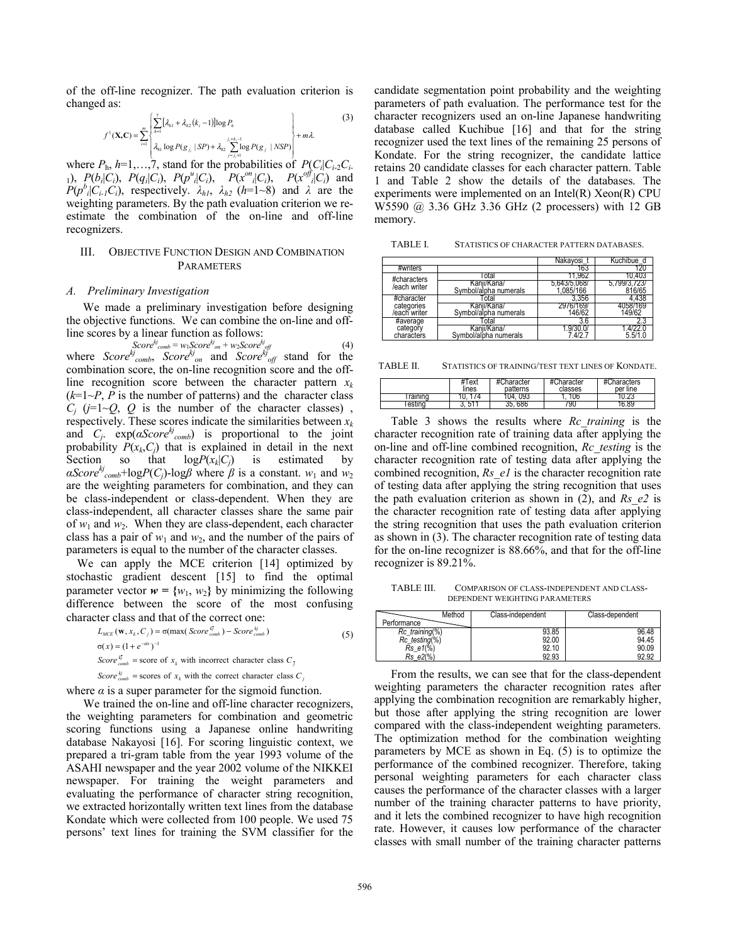of the off-line recognizer. The path evaluation criterion is changed as:

$$
f^{1}(\mathbf{X}, \mathbf{C}) = \sum_{i=1}^{m} \left\{ \frac{\sum_{h=1}^{7} [\lambda_{h1} + \lambda_{h2}(k_{i} - 1)] \log P_{h}}{\lambda_{g1} \log P(g_{j_{i}} | SP) + \lambda_{g2} \sum_{j=j_{i}+1}^{j_{i}+k_{i}-1} \log P(g_{j} | NSP) } \right\} + m\lambda.
$$
 (3)

where  $P_h$ ,  $h=1,\ldots,7$ , stand for the probabilities of  $P(C_i|C_{i-2}C_i)$ 1),  $P(b_i|C_i)$ ,  $P(q_i|C_i)$ ,  $P(p^u_i|C_i)$ ,  $P(x^{on_i}|C_i)$ ,  $P(x^{off_i}|C_i)$  and  $P(p^b|C_{i-1}C_i)$ , respectively.  $\lambda_{h1}$ ,  $\lambda_{h2}$  (*h*=1~8) and  $\lambda$  are the weighting parameters. By the path evaluation criterion we reestimate the combination of the on-line and off-line recognizers.

# III. OBJECTIVE FUNCTION DESIGN AND COMBINATION PARAMETERS

#### *A. Preliminary Investigation*

We made a preliminary investigation before designing the objective functions. We can combine the on-line and offline scores by a linear function as follows:

*Scorekj comb* = *w*1*Scorekj on* + *w*2*Scorekj Score<sup>kj</sup><sub>comb</sub>* =  $w_1$ *Score<sup>kj</sup><sub>on</sub>* +  $w_2$ *Score<sup>kj</sup><sub>off</sub>* stand for the where *Score<sup>kj</sup><sub>oom</sub>*, *Score<sup>kj</sup><sub>on</sub>* and *Score<sup>kj</sup><sub>off</sub>* stand for the combination score, the on-line recognition score and the offline recognition score between the character pattern  $x_k$  $(k=1-P, P$  is the number of patterns) and the character class  $C_j$  ( $j=1$   $\sim$  *Q*, *Q* is the number of the character classes), respectively. These scores indicate the similarities between  $x_k$ and  $C_i$  exp( $\alpha$ *Score*<sup> $k_j$ </sup><sub>comb</sub>) is proportional to the joint probability  $P(x_k, C_i)$  that is explained in detail in the next Section so that  $logP(x_k|C_j)$  is estimated by  $\alpha$ *Score*<sup>*kj*</sup><sub>comb</sub>+log*P*(*C<sub>j</sub>*)-log*β* where *β* is a constant. *w*<sub>1</sub> and *w*<sub>2</sub> are the weighting parameters for combination, and they can be class-independent or class-dependent. When they are class-independent, all character classes share the same pair of  $w_1$  and  $w_2$ . When they are class-dependent, each character class has a pair of  $w_1$  and  $w_2$ , and the number of the pairs of parameters is equal to the number of the character classes.

We can apply the MCE criterion [14] optimized by stochastic gradient descent [15] to find the optimal parameter vector  $w = \{w_1, w_2\}$  by minimizing the following difference between the score of the most confusing character class and that of the correct one:

$$
L_{MCE}(\mathbf{w}, x_k, C_j) = \sigma(\max(Score_{comb}^{kj}) - Score_{comb}^{k})
$$
  
\n
$$
\sigma(x) = (1 + e^{-cx})^{-1}
$$
  
\n
$$
Score_{comb}^{kj} = score \text{ of } x_k \text{ with incorrect character class } C_j
$$
  
\n
$$
Score_{comb}^{kj} = scores \text{ of } x_k \text{ with the correct character class } C_j
$$

where  $\alpha$  is a super parameter for the sigmoid function.

We trained the on-line and off-line character recognizers, the weighting parameters for combination and geometric scoring functions using a Japanese online handwriting database Nakayosi [16]. For scoring linguistic context, we prepared a tri-gram table from the year 1993 volume of the ASAHI newspaper and the year 2002 volume of the NIKKEI newspaper. For training the weight parameters and evaluating the performance of character string recognition, we extracted horizontally written text lines from the database Kondate which were collected from 100 people. We used 75 persons' text lines for training the SVM classifier for the candidate segmentation point probability and the weighting parameters of path evaluation. The performance test for the character recognizers used an on-line Japanese handwriting database called Kuchibue [16] and that for the string recognizer used the text lines of the remaining 25 persons of Kondate. For the string recognizer, the candidate lattice retains 20 candidate classes for each character pattern. Table 1 and Table 2 show the details of the databases. The experiments were implemented on an Intel(R) Xeon(R) CPU W5590 @ 3.36 GHz 3.36 GHz (2 processers) with 12 GB memory.

TABLE I. STATISTICS OF CHARACTER PATTERN DATABASES.

|                                          |                                      | Nakavosi                     | <b>Kuchibue</b>       |
|------------------------------------------|--------------------------------------|------------------------------|-----------------------|
| #writers                                 |                                      | 163                          |                       |
| #characters<br>/each writer              | otal                                 | 11.962                       | 10.403                |
|                                          | Kanii/Kana/<br>Symbol/alpha numerals | .068<br>5.643/5.<br>.085/166 | 5,79973,723<br>816765 |
| #character<br>categories<br>/each writer | otal                                 | 3.356                        | 4.438                 |
|                                          | Kanii/Kana/<br>Symbol/alpha numerals | 2976/169<br>146/62           | 4058/169<br>149/62    |
| #average<br>category<br>characters       | otal                                 | 3.6                          | د.٤                   |
|                                          | Kanii/Kana/<br>Symbol/alpha numerals | .9/30.0<br>4/2               | 5.5/1.0               |

TABLE II. STATISTICS OF TRAINING/TEST TEXT LINES OF KONDATE.

|         | #Text<br>lines | #Character<br>patterns | #Character<br>classes | #Characters<br>per line |
|---------|----------------|------------------------|-----------------------|-------------------------|
| raining |                | -093<br>104.           | 106                   | IU.Z3                   |
| esting  | 511            | 686<br>35.             | 'YU                   | 16.89                   |

Table 3 shows the results where *Rc\_training* is the character recognition rate of training data after applying the on-line and off-line combined recognition, *Rc\_testing* is the character recognition rate of testing data after applying the combined recognition, *Rs\_e1* is the character recognition rate of testing data after applying the string recognition that uses the path evaluation criterion as shown in (2), and *Rs\_e2* is the character recognition rate of testing data after applying the string recognition that uses the path evaluation criterion as shown in (3). The character recognition rate of testing data for the on-line recognizer is 88.66%, and that for the off-line recognizer is 89.21%.

TABLE III. COMPARISON OF CLASS-INDEPENDENT AND CLASS-DEPENDENT WEIGHTING PARAMETERS

| Method           | Class-independent | Class-dependent |
|------------------|-------------------|-----------------|
| Performance      |                   |                 |
| $Rc$ training(%) | 93.85             | 96.48           |
| $Rc$ testing(%)  | 92.00             | 94.45           |
| $Rs$ e1(%)       | 92.10             | 90.09           |
| $Rs\_e2(\%)$     | 92.93             | 92.92           |

From the results, we can see that for the class-dependent weighting parameters the character recognition rates after applying the combination recognition are remarkably higher, but those after applying the string recognition are lower compared with the class-independent weighting parameters. The optimization method for the combination weighting parameters by MCE as shown in Eq. (5) is to optimize the performance of the combined recognizer. Therefore, taking personal weighting parameters for each character class causes the performance of the character classes with a larger number of the training character patterns to have priority, and it lets the combined recognizer to have high recognition rate. However, it causes low performance of the character classes with small number of the training character patterns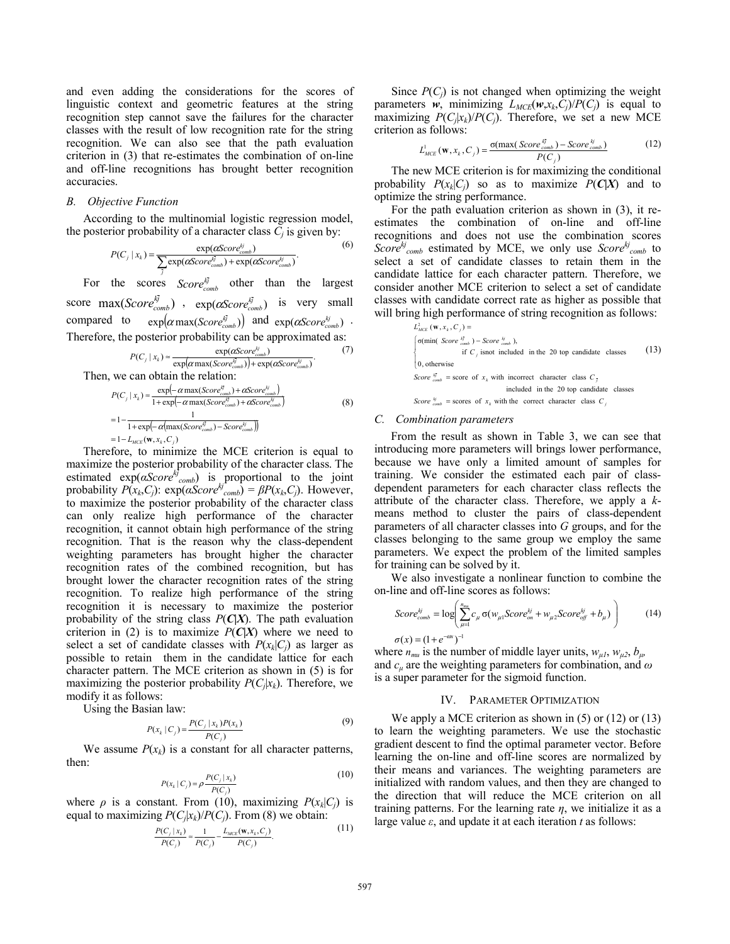and even adding the considerations for the scores of linguistic context and geometric features at the string recognition step cannot save the failures for the character classes with the result of low recognition rate for the string recognition. We can also see that the path evaluation criterion in (3) that re-estimates the combination of on-line and off-line recognitions has brought better recognition accuracies.

# *B. Objective Function*

According to the multinomial logistic regression model, the posterior probability of a character class  $C_i$  is given by:

$$
P(C_j | x_k) = \frac{\exp(\alpha \text{Score}_{comb}^{kj})}{\sum_{j} \exp(\alpha \text{Score}_{comb}^{j}) + \exp(\alpha \text{Score}_{comb}^{j})}.
$$
 (6)

For the scores  $Score_{comb}^{kj}$  other than the largest score  $\max(Score_{comb}^{k\bar{j}})$ ,  $\exp(\alpha Score_{comb}^{k\bar{j}})$  is very small compared to  $\exp(\alpha \max(Score_{comb}^{kj}))$  and  $\exp(\alpha Score_{comb}^{kj})$ . Therefore, the posterior probability can be approximated as:

$$
P(C_j | x_k) \approx \frac{\exp(\alpha \text{Score}_{comb}^{kj})}{\exp(\alpha \max(\text{Score}_{comb}^{kj})) + \exp(\alpha \text{Score}_{comb}^{kj})}.
$$
 (7)

Then, we can obtain the relation:

$$
P(C_j | x_k) \approx \frac{\exp(-\alpha \max(Score_{comb}^{\delta}) + \alpha Score_{comb}^{\delta})}{1 + \exp(-\alpha \max(Score_{comb}^{\delta}) + \alpha Score_{comb}^{\delta})}
$$
(8)  
= 1 - 
$$
\frac{1}{1 + \exp(-\alpha(\max(Score_{comb}^{\delta}) - Score_{comb}^{\delta}))}
$$
(9)  
= 1 -  $L_{MCE}$  (w, x\_k, C\_j)

Therefore, to minimize the MCE criterion is equal to maximize the posterior probability of the character class. The estimated  $exp(aScore^{kj}_{comb})$  is proportional to the joint probability  $P(x_k, C_j)$ : exp( $\alpha \text{Score}^{kj}$ <sub>comb</sub>) =  $\beta P(x_k, C_j)$ . However, to maximize the posterior probability of the character class can only realize high performance of the character recognition, it cannot obtain high performance of the string recognition. That is the reason why the class-dependent weighting parameters has brought higher the character recognition rates of the combined recognition, but has brought lower the character recognition rates of the string recognition. To realize high performance of the string recognition it is necessary to maximize the posterior probability of the string class *P*(*C|X*). The path evaluation criterion in (2) is to maximize  $P(C|X)$  where we need to select a set of candidate classes with  $P(x_k|C_i)$  as larger as possible to retain them in the candidate lattice for each character pattern. The MCE criterion as shown in (5) is for maximizing the posterior probability  $P(C_i|x_k)$ . Therefore, we modify it as follows:

Using the Basian law:

$$
P(x_k | C_j) = \frac{P(C_j | x_k)P(x_k)}{P(C_j)}
$$
(9)

We assume  $P(x_k)$  is a constant for all character patterns, then:

$$
P(x_k | C_j) = \rho \frac{P(C_j | x_k)}{P(C_j)}
$$
\n(10)

where  $\rho$  is a constant. From (10), maximizing  $P(x_k|C_i)$  is equal to maximizing  $P(C_i|x_k)/P(C_i)$ . From (8) we obtain:

$$
\frac{P(C_j | x_k)}{P(C_j)} \approx \frac{1}{P(C_j)} - \frac{L_{MCE}(\mathbf{w}, x_k, C_j)}{P(C_j)}.
$$
\n(11)

Since  $P(C_i)$  is not changed when optimizing the weight parameters *w*, minimizing  $L_{MCE}(w, x_k, C_j)/P(C_j)$  is equal to maximizing  $P(C_i|x_k)/P(C_i)$ . Therefore, we set a new MCE criterion as follows:

$$
L_{MCE}^{1}(\mathbf{w}, \mathbf{x}_{k}, C_{j}) = \frac{\sigma(\max(Score_{comb}^{kj}) - Score_{comb}^{k})}{P(C_{j})}
$$
(12)

The new MCE criterion is for maximizing the conditional probability  $P(x_k|C_j)$  so as to maximize  $P(C|X)$  and to optimize the string performance.

For the path evaluation criterion as shown in (3), it reestimates the combination of on-line and off-line recognitions and does not use the combination scores *Scorekj comb* estimated by MCE, we only use *Scorekj comb* to select a set of candidate classes to retain them in the candidate lattice for each character pattern. Therefore, we consider another MCE criterion to select a set of candidate classes with candidate correct rate as higher as possible that will bring high performance of string recognition as follows:

$$
L_{MCE}^{2} (\mathbf{w}, x_{k}, C_{j}) =
$$
\n
$$
\begin{cases}\n\text{of (min(} \text{ Score } \frac{S}{\text{comb}}) - \text{Score } \frac{N}{\text{comb}}), & \text{if } C_{j} \text{ is not included in the 20 top candidate classes} \\
0, \text{otherwise}\n\end{cases}
$$
\n
$$
\text{Score } \frac{N}{\text{comb}} = \text{score of } x_{k} \text{ with incorrect character class } C_{j} \text{ included in the 20 top candidate classes}
$$
\n
$$
\text{Score } \frac{N}{\text{comb}} = \text{scores of } x_{k} \text{ with the correct character class } C_{j}
$$

#### *C. Combination parameters*

From the result as shown in Table 3, we can see that introducing more parameters will brings lower performance, because we have only a limited amount of samples for training. We consider the estimated each pair of classdependent parameters for each character class reflects the attribute of the character class. Therefore, we apply a *k*means method to cluster the pairs of class-dependent parameters of all character classes into *G* groups, and for the classes belonging to the same group we employ the same parameters. We expect the problem of the limited samples for training can be solved by it.

We also investigate a nonlinear function to combine the on-line and off-line scores as follows:

$$
Score_{comb}^{kj} = \log \left( \sum_{\mu=1}^{n_{\text{max}}} c_{\mu} \sigma(w_{\mu 1} Score_{on}^{kj} + w_{\mu 2} Score_{off}^{kj} + b_{\mu}) \right)
$$
(14)  

$$
\sigma(x) = (1 + e^{-\alpha x})^{-1}
$$

where  $n_{mu}$  is the number of middle layer units,  $w_{\mu}$ ,  $w_{\mu}$ ,  $b_{\mu}$ and *cμ* are the weighting parameters for combination, and *ω* is a super parameter for the sigmoid function.

## IV. PARAMETER OPTIMIZATION

We apply a MCE criterion as shown in (5) or (12) or (13) to learn the weighting parameters. We use the stochastic gradient descent to find the optimal parameter vector. Before learning the on-line and off-line scores are normalized by their means and variances. The weighting parameters are initialized with random values, and then they are changed to the direction that will reduce the MCE criterion on all training patterns. For the learning rate  $\eta$ , we initialize it as a large value *ε*, and update it at each iteration *t* as follows: